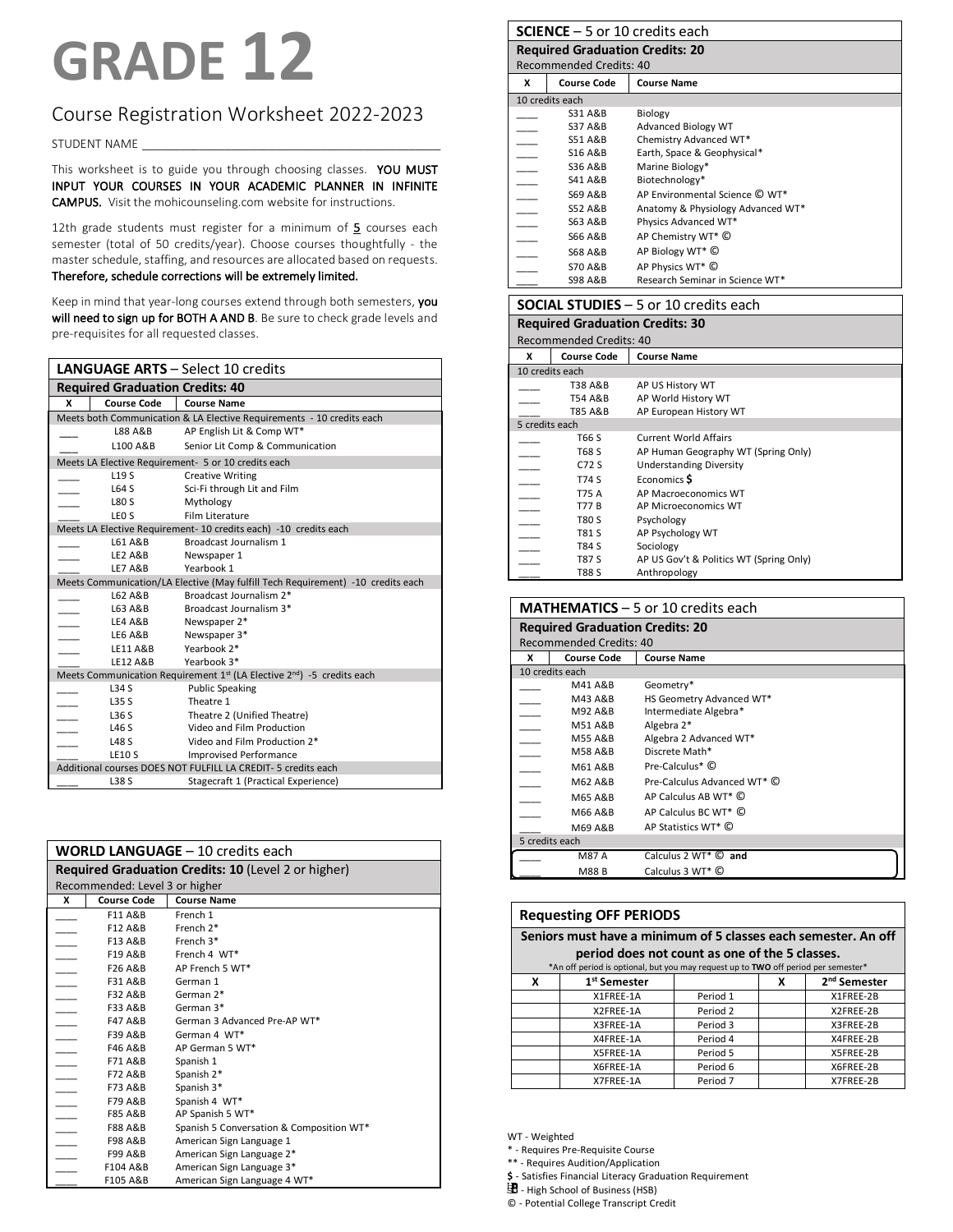# **GRADE 12**

# Course Registration Worksheet 2022-2023

STUDENT NAME

This worksheet is to guide you through choosing classes. YOU MUST INPUT YOUR COURSES IN YOUR ACADEMIC PLANNER IN INFINITE CAMPUS. Visit the mohicounseling.com website for instructions.

12th grade students must register for a minimum of  $5$  courses each semester (total of 50 credits/year). Choose courses thoughtfully - the master schedule, staffing, and resources are allocated based on requests. Therefore, schedule corrections will be extremely limited.

Keep in mind that year-long courses extend through both semesters, you will need to sign up for BOTH A AND B. Be sure to check grade levels and pre-requisites for all requested classes.

|                                                                                 | <b>LANGUAGE ARTS - Select 10 credits</b>                                                       |                                                                       |  |
|---------------------------------------------------------------------------------|------------------------------------------------------------------------------------------------|-----------------------------------------------------------------------|--|
| <b>Required Graduation Credits: 40</b>                                          |                                                                                                |                                                                       |  |
| x                                                                               | <b>Course Code</b>                                                                             | <b>Course Name</b>                                                    |  |
|                                                                                 |                                                                                                | Meets both Communication & LA Elective Requirements - 10 credits each |  |
|                                                                                 | L88 A&B                                                                                        | AP English Lit & Comp WT*                                             |  |
|                                                                                 | L <sub>100</sub> A&B                                                                           | Senior Lit Comp & Communication                                       |  |
|                                                                                 |                                                                                                | Meets LA Elective Requirement- 5 or 10 credits each                   |  |
|                                                                                 | L <sub>19</sub> S                                                                              | <b>Creative Writing</b>                                               |  |
|                                                                                 | L64 S                                                                                          | Sci-Fi through Lit and Film                                           |  |
|                                                                                 | <b>L80 S</b>                                                                                   | Mythology                                                             |  |
|                                                                                 | LEO <sub>S</sub>                                                                               | Film Literature                                                       |  |
|                                                                                 |                                                                                                | Meets LA Elective Requirement- 10 credits each) -10 credits each      |  |
|                                                                                 | L61 A&B                                                                                        | Broadcast Journalism 1                                                |  |
|                                                                                 | LE2 A&B                                                                                        | Newspaper 1                                                           |  |
|                                                                                 | <b>LE7 A&amp;B</b>                                                                             | Yearbook 1                                                            |  |
| Meets Communication/LA Elective (May fulfill Tech Requirement) -10 credits each |                                                                                                |                                                                       |  |
|                                                                                 | L62 A&B                                                                                        | Broadcast Journalism 2*                                               |  |
|                                                                                 | L63 A&B                                                                                        | Broadcast Journalism 3*                                               |  |
|                                                                                 | LE4 A&B                                                                                        | Newspaper 2*                                                          |  |
|                                                                                 | LE6 A&B                                                                                        | Newspaper 3*                                                          |  |
|                                                                                 | LE11 A&B                                                                                       | Yearbook 2*                                                           |  |
|                                                                                 | <b>LE12 A&amp;B</b>                                                                            | Yearbook 3*                                                           |  |
|                                                                                 | Meets Communication Requirement 1 <sup>st</sup> (LA Elective 2 <sup>nd</sup> ) -5 credits each |                                                                       |  |
|                                                                                 | L34S                                                                                           | <b>Public Speaking</b>                                                |  |
|                                                                                 | L35S                                                                                           | Theatre 1                                                             |  |
|                                                                                 | L36S                                                                                           | Theatre 2 (Unified Theatre)                                           |  |
|                                                                                 | <b>L46 S</b>                                                                                   | Video and Film Production                                             |  |
|                                                                                 | <b>L48 S</b>                                                                                   | Video and Film Production 2*                                          |  |
|                                                                                 | <b>LE10 S</b>                                                                                  | <b>Improvised Performance</b>                                         |  |
|                                                                                 | Additional courses DOES NOT FULFILL LA CREDIT- 5 credits each                                  |                                                                       |  |
|                                                                                 | L38 S                                                                                          | Stagecraft 1 (Practical Experience)                                   |  |

|                          | <b>WORLD LANGUAGE - 10 credits each</b> |                                                     |  |  |
|--------------------------|-----------------------------------------|-----------------------------------------------------|--|--|
|                          |                                         | Required Graduation Credits: 10 (Level 2 or higher) |  |  |
|                          | Recommended: Level 3 or higher          |                                                     |  |  |
| x                        | <b>Course Code</b>                      | <b>Course Name</b>                                  |  |  |
|                          | F11 A&B                                 | French 1                                            |  |  |
|                          | F12 A&B                                 | French 2*                                           |  |  |
|                          | F13 A&B                                 | French 3*                                           |  |  |
| $\frac{1}{100}$          | F19 A&B                                 | French 4 WT*                                        |  |  |
|                          | F26 A&B                                 | AP French 5 WT*                                     |  |  |
|                          | F31 A&B                                 | German 1                                            |  |  |
|                          | F32 A&B                                 | German 2*                                           |  |  |
|                          | F33 A&B                                 | German 3*                                           |  |  |
|                          | F47 A&B                                 | German 3 Advanced Pre-AP WT*                        |  |  |
|                          | F39 A&B                                 | German 4 WT*                                        |  |  |
|                          | F46 A&B                                 | AP German 5 WT*                                     |  |  |
| $\overline{\phantom{a}}$ | F71 A&B                                 | Spanish 1                                           |  |  |
|                          | F72 A&B                                 | Spanish 2*                                          |  |  |
|                          | F73 A&B                                 | Spanish 3*                                          |  |  |
|                          | F79 A&B                                 | Spanish 4 WT*                                       |  |  |
|                          | <b>F85 A&amp;B</b>                      | AP Spanish 5 WT*                                    |  |  |
|                          | <b>F88 A&amp;B</b>                      | Spanish 5 Conversation & Composition WT*            |  |  |
| $\overline{\phantom{a}}$ | <b>F98 A&amp;B</b>                      | American Sign Language 1                            |  |  |
|                          | F99 A&B                                 | American Sign Language 2*                           |  |  |
| $\overline{\phantom{a}}$ | F104 A&B                                | American Sign Language 3*                           |  |  |
|                          | F105 A&B                                | American Sign Language 4 WT*                        |  |  |

| <b>SCIENCE</b> $-5$ or 10 credits each |                                        |                                               |  |  |
|----------------------------------------|----------------------------------------|-----------------------------------------------|--|--|
|                                        | <b>Required Graduation Credits: 20</b> |                                               |  |  |
|                                        | <b>Recommended Credits: 40</b>         |                                               |  |  |
| x                                      | <b>Course Code</b>                     | <b>Course Name</b>                            |  |  |
|                                        | 10 credits each                        |                                               |  |  |
|                                        | S31 A&B                                | Biology                                       |  |  |
|                                        | <b>S37 A&amp;B</b>                     | Advanced Biology WT                           |  |  |
|                                        | <b>S51 A&amp;B</b>                     | Chemistry Advanced WT*                        |  |  |
|                                        | S16 A&B                                | Earth, Space & Geophysical*                   |  |  |
|                                        | <b>S36 A&amp;B</b>                     | Marine Biology*                               |  |  |
|                                        | <b>S41 A&amp;B</b>                     | Biotechnology*                                |  |  |
|                                        | <b>S69 A&amp;B</b>                     | AP Environmental Science C WT*                |  |  |
|                                        | <b>S52 A&amp;B</b>                     | Anatomy & Physiology Advanced WT*             |  |  |
|                                        | S63 A&B                                | Physics Advanced WT*                          |  |  |
|                                        | <b>S66 A&amp;B</b>                     | AP Chemistry WT* C                            |  |  |
|                                        | <b>S68 A&amp;B</b>                     | AP Biology WT* C                              |  |  |
|                                        | <b>S70 A&amp;B</b>                     | AP Physics WT* C                              |  |  |
|                                        | <b>S98 A&amp;B</b>                     | Research Seminar in Science WT*               |  |  |
|                                        |                                        | <b>SOCIAL STUDIES</b> $-5$ or 10 credits each |  |  |
|                                        | <b>Required Graduation Credits: 30</b> |                                               |  |  |
|                                        | Recommended Credits: 40                |                                               |  |  |
| x                                      | <b>Course Code</b>                     | <b>Course Name</b>                            |  |  |
|                                        | 10 credits each                        |                                               |  |  |
|                                        | <b>T38 A&amp;B</b>                     | AP US History WT                              |  |  |
|                                        | T54 A&B                                | AP World History WT                           |  |  |
|                                        | T85 A&B                                | AP European History WT                        |  |  |
|                                        | 5 credits each                         |                                               |  |  |

|                | <b>T85 A&amp;B</b> | AP European History WT                  |  |
|----------------|--------------------|-----------------------------------------|--|
| 5 credits each |                    |                                         |  |
|                | T66 S              | <b>Current World Affairs</b>            |  |
|                | T68 S              | AP Human Geography WT (Spring Only)     |  |
|                | C72 S              | <b>Understanding Diversity</b>          |  |
|                | T74 S              | Economics S                             |  |
|                | T75 A              | AP Macroeconomics WT                    |  |
|                | T77 B              | AP Microeconomics WT                    |  |
|                | T80 S              | Psychology                              |  |
|                | T81 S              | AP Psychology WT                        |  |
|                | T84 S              | Sociology                               |  |
|                | <b>T87 S</b>       | AP US Gov't & Politics WT (Spring Only) |  |
|                | <b>T88 S</b>       | Anthropology                            |  |

|                | <b>MATHEMATICS</b> $-$ 5 or 10 credits each |                                  |  |
|----------------|---------------------------------------------|----------------------------------|--|
|                | <b>Required Graduation Credits: 20</b>      |                                  |  |
|                | Recommended Credits: 40                     |                                  |  |
| x              | <b>Course Code</b>                          | <b>Course Name</b>               |  |
|                | 10 credits each                             |                                  |  |
|                | M41 A&B                                     | Geometry*                        |  |
|                | M43 A&B                                     | HS Geometry Advanced WT*         |  |
|                | M92 A&B                                     | Intermediate Algebra*            |  |
|                | M51 A&B                                     | Algebra 2*                       |  |
|                | <b>M55 A&amp;B</b>                          | Algebra 2 Advanced WT*           |  |
|                | <b>M58 A&amp;B</b>                          | Discrete Math*                   |  |
|                | M61 A&B                                     | Pre-Calculus* ©                  |  |
|                | M62 A&B                                     | Pre-Calculus Advanced WT* C      |  |
|                | M65 A&B                                     | AP Calculus AB WT* C             |  |
|                | M66 A&B                                     | AP Calculus BC WT* C             |  |
|                | M69 A&B                                     | AP Statistics WT* C              |  |
| 5 credits each |                                             |                                  |  |
|                | <b>M87 A</b>                                | Calculus 2 WT <sup>*</sup> © and |  |
|                | M88 B                                       | Calculus 3 WT* C                 |  |

#### **Requesting OFF PERIODS**

**Seniors must have a minimum of 5 classes each semester. An off period does not count as one of the 5 classes.**

| *An off period is optional, but you may request up to TWO off period per semester* |                          |          |   |                          |
|------------------------------------------------------------------------------------|--------------------------|----------|---|--------------------------|
| x                                                                                  | 1 <sup>st</sup> Semester |          | x | 2 <sup>nd</sup> Semester |
|                                                                                    | X1FREE-1A                | Period 1 |   | X1FREE-2B                |
|                                                                                    | X2FREE-1A                | Period 2 |   | X2FREE-2B                |
|                                                                                    | X3FREE-1A                | Period 3 |   | X3FREE-2B                |
|                                                                                    | X4FREE-1A                | Period 4 |   | X4FREE-2B                |
|                                                                                    | X5FREE-1A                | Period 5 |   | X5FREE-2B                |
|                                                                                    | X6FREE-1A                | Period 6 |   | X6FREE-2B                |
|                                                                                    | X7FREE-1A                | Period 7 |   | X7FREE-2B                |

WT - Weighted

\* - Requires Pre-Requisite Course

\*\* - Requires Audition/Application

**\$** - Satisfies Financial Literacy Graduation Requirement

 $\mathbf{B}$  - High School of Business (HSB)

© - Potential College Transcript Credit